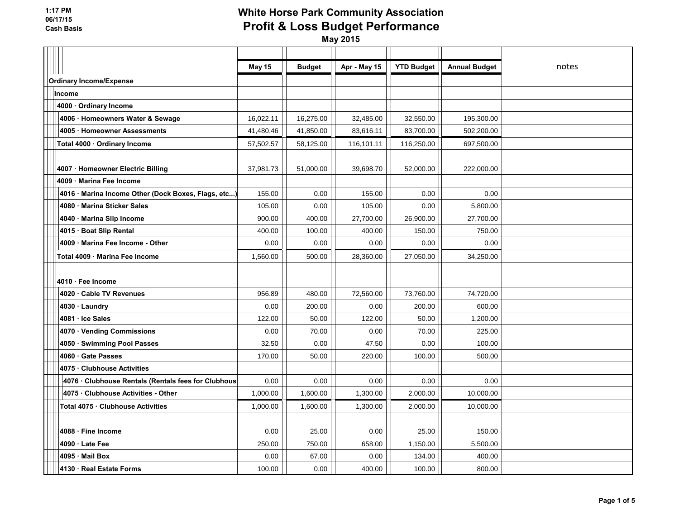|                                                     | <b>May 15</b> | <b>Budget</b> | Apr - May 15 | <b>YTD Budget</b> | <b>Annual Budget</b> | notes |
|-----------------------------------------------------|---------------|---------------|--------------|-------------------|----------------------|-------|
| <b>Ordinary Income/Expense</b>                      |               |               |              |                   |                      |       |
| Income                                              |               |               |              |                   |                      |       |
| 4000 Ordinary Income                                |               |               |              |                   |                      |       |
| 4006 · Homeowners Water & Sewage                    | 16,022.11     | 16,275.00     | 32,485.00    | 32,550.00         | 195,300.00           |       |
| 4005 · Homeowner Assessments                        | 41,480.46     | 41,850.00     | 83,616.11    | 83,700.00         | 502,200.00           |       |
| Total 4000 · Ordinary Income                        | 57,502.57     | 58,125.00     | 116,101.11   | 116,250.00        | 697,500.00           |       |
|                                                     |               |               |              |                   |                      |       |
| 4007 · Homeowner Electric Billing                   | 37,981.73     | 51,000.00     | 39,698.70    | 52,000.00         | 222,000.00           |       |
| 4009 · Marina Fee Income                            |               |               |              |                   |                      |       |
| 4016 · Marina Income Other (Dock Boxes, Flags, etc) | 155.00        | 0.00          | 155.00       | 0.00              | 0.00                 |       |
| 4080 Marina Sticker Sales                           | 105.00        | 0.00          | 105.00       | 0.00              | 5,800.00             |       |
| 4040 · Marina Slip Income                           | 900.00        | 400.00        | 27,700.00    | 26,900.00         | 27,700.00            |       |
| 4015 · Boat Slip Rental                             | 400.00        | 100.00        | 400.00       | 150.00            | 750.00               |       |
| 4009 Marina Fee Income - Other                      | 0.00          | 0.00          | 0.00         | 0.00              | 0.00                 |       |
| Total 4009 · Marina Fee Income                      | 1,560.00      | 500.00        | 28,360.00    | 27,050.00         | 34,250.00            |       |
| 4010 · Fee Income                                   |               |               |              |                   |                      |       |
| 4020 Cable TV Revenues                              | 956.89        | 480.00        | 72,560.00    | 73,760.00         | 74,720.00            |       |
| 4030 · Laundry                                      | 0.00          | 200.00        | 0.00         | 200.00            | 600.00               |       |
| 4081 · Ice Sales                                    | 122.00        | 50.00         | 122.00       | 50.00             | 1,200.00             |       |
| 4070 · Vending Commissions                          | 0.00          | 70.00         | 0.00         | 70.00             | 225.00               |       |
| 4050 · Swimming Pool Passes                         | 32.50         | 0.00          | 47.50        | 0.00              | 100.00               |       |
| 4060 Gate Passes                                    | 170.00        | 50.00         | 220.00       | 100.00            | 500.00               |       |
| 4075 Clubhouse Activities                           |               |               |              |                   |                      |       |
| 4076 · Clubhouse Rentals (Rentals fees for Clubhous | 0.00          | 0.00          | 0.00         | 0.00              | 0.00                 |       |
| 4075 · Clubhouse Activities - Other                 | 1,000.00      | 1,600.00      | 1,300.00     | 2,000.00          | 10,000.00            |       |
| Total 4075 · Clubhouse Activities                   | 1,000.00      | 1,600.00      | 1,300.00     | 2,000.00          | 10,000.00            |       |
|                                                     |               |               |              |                   |                      |       |
| 4088 · Fine Income                                  | 0.00          | 25.00         | 0.00         | 25.00             | 150.00               |       |
| 4090 · Late Fee                                     | 250.00        | 750.00        | 658.00       | 1,150.00          | 5,500.00             |       |
| 4095 Mail Box                                       | 0.00          | 67.00         | 0.00         | 134.00            | 400.00               |       |
| 4130 · Real Estate Forms                            | 100.00        | 0.00          | 400.00       | 100.00            | 800.00               |       |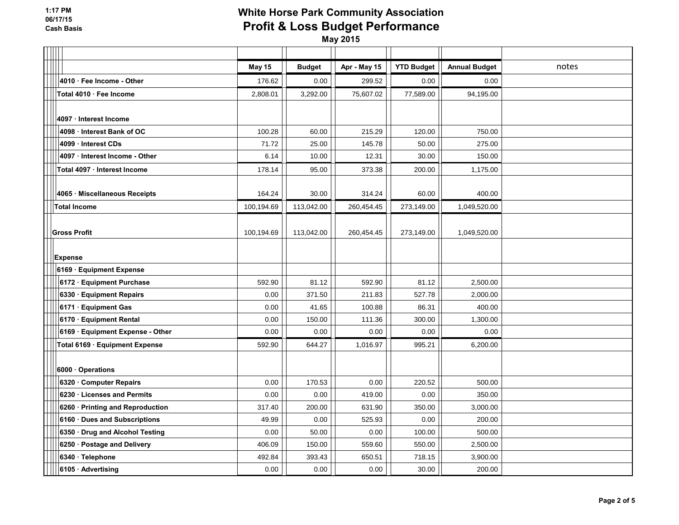|                                  | <b>May 15</b> | <b>Budget</b> | Apr - May 15 | <b>YTD Budget</b> | <b>Annual Budget</b> | notes |
|----------------------------------|---------------|---------------|--------------|-------------------|----------------------|-------|
| 4010 · Fee Income - Other        | 176.62        | 0.00          | 299.52       | 0.00              | 0.00                 |       |
| Total 4010 · Fee Income          | 2,808.01      | 3,292.00      | 75,607.02    | 77,589.00         | 94,195.00            |       |
|                                  |               |               |              |                   |                      |       |
| 4097 · Interest Income           |               |               |              |                   |                      |       |
| 4098 · Interest Bank of OC       | 100.28        | 60.00         | 215.29       | 120.00            | 750.00               |       |
| 4099 · Interest CDs              | 71.72         | 25.00         | 145.78       | 50.00             | 275.00               |       |
| 4097 · Interest Income - Other   | 6.14          | 10.00         | 12.31        | 30.00             | 150.00               |       |
| Total 4097 · Interest Income     | 178.14        | 95.00         | 373.38       | 200.00            | 1,175.00             |       |
|                                  |               |               |              |                   |                      |       |
| 4065 · Miscellaneous Receipts    | 164.24        | 30.00         | 314.24       | 60.00             | 400.00               |       |
| <b>Total Income</b>              | 100,194.69    | 113,042.00    | 260,454.45   | 273,149.00        | 1,049,520.00         |       |
|                                  |               |               |              |                   |                      |       |
| <b>Gross Profit</b>              | 100,194.69    | 113,042.00    | 260,454.45   | 273,149.00        | 1,049,520.00         |       |
|                                  |               |               |              |                   |                      |       |
| <b>Expense</b>                   |               |               |              |                   |                      |       |
| 6169 Equipment Expense           |               |               |              |                   |                      |       |
| 6172 · Equipment Purchase        | 592.90        | 81.12         | 592.90       | 81.12             | 2,500.00             |       |
| 6330 · Equipment Repairs         | 0.00          | 371.50        | 211.83       | 527.78            | 2,000.00             |       |
| 6171 · Equipment Gas             | 0.00          | 41.65         | 100.88       | 86.31             | 400.00               |       |
| 6170 · Equipment Rental          | 0.00          | 150.00        | 111.36       | 300.00            | 1,300.00             |       |
| 6169 · Equipment Expense - Other | 0.00          | 0.00          | 0.00         | 0.00              | 0.00                 |       |
| Total 6169 · Equipment Expense   | 592.90        | 644.27        | 1,016.97     | 995.21            | 6,200.00             |       |
|                                  |               |               |              |                   |                      |       |
| 6000 Operations                  |               |               |              |                   |                      |       |
| 6320 Computer Repairs            | 0.00          | 170.53        | 0.00         | 220.52            | 500.00               |       |
| 6230 · Licenses and Permits      | 0.00          | 0.00          | 419.00       | 0.00              | 350.00               |       |
| 6260 · Printing and Reproduction | 317.40        | 200.00        | 631.90       | 350.00            | 3,000.00             |       |
| 6160 · Dues and Subscriptions    | 49.99         | 0.00          | 525.93       | 0.00              | 200.00               |       |
| 6350 · Drug and Alcohol Testing  | 0.00          | 50.00         | 0.00         | 100.00            | 500.00               |       |
| 6250 · Postage and Delivery      | 406.09        | 150.00        | 559.60       | 550.00            | 2,500.00             |       |
| 6340 · Telephone                 | 492.84        | 393.43        | 650.51       | 718.15            | 3,900.00             |       |
| 6105 · Advertising               | 0.00          | 0.00          | 0.00         | 30.00             | 200.00               |       |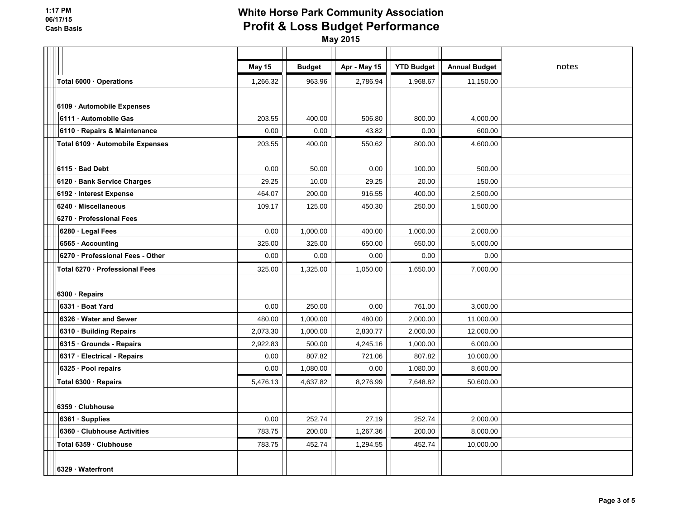|                                  | <b>May 15</b> | <b>Budget</b> | Apr - May 15 | <b>YTD Budget</b> | <b>Annual Budget</b> | notes |
|----------------------------------|---------------|---------------|--------------|-------------------|----------------------|-------|
| Total 6000 · Operations          | 1,266.32      | 963.96        | 2,786.94     | 1,968.67          | 11,150.00            |       |
|                                  |               |               |              |                   |                      |       |
| 6109 Automobile Expenses         |               |               |              |                   |                      |       |
| 6111 Automobile Gas              | 203.55        | 400.00        | 506.80       | 800.00            | 4,000.00             |       |
| 6110 · Repairs & Maintenance     | 0.00          | 0.00          | 43.82        | 0.00              | 600.00               |       |
| Total 6109 · Automobile Expenses | 203.55        | 400.00        | 550.62       | 800.00            | 4,600.00             |       |
|                                  |               |               |              |                   |                      |       |
| 6115 Bad Debt                    | 0.00          | 50.00         | 0.00         | 100.00            | 500.00               |       |
| 6120 · Bank Service Charges      | 29.25         | 10.00         | 29.25        | 20.00             | 150.00               |       |
| 6192 · Interest Expense          | 464.07        | 200.00        | 916.55       | 400.00            | 2,500.00             |       |
| 6240 Miscellaneous               | 109.17        | 125.00        | 450.30       | 250.00            | 1,500.00             |       |
| 6270 Professional Fees           |               |               |              |                   |                      |       |
| 6280 · Legal Fees                | 0.00          | 1,000.00      | 400.00       | 1,000.00          | 2,000.00             |       |
| 6565 · Accounting                | 325.00        | 325.00        | 650.00       | 650.00            | 5,000.00             |       |
| 6270 · Professional Fees - Other | 0.00          | 0.00          | 0.00         | 0.00              | 0.00                 |       |
| Total 6270 · Professional Fees   | 325.00        | 1,325.00      | 1,050.00     | 1,650.00          | 7,000.00             |       |
|                                  |               |               |              |                   |                      |       |
| 6300 Repairs                     |               |               |              |                   |                      |       |
| 6331 · Boat Yard                 | 0.00          | 250.00        | 0.00         | 761.00            | 3,000.00             |       |
| 6326 · Water and Sewer           | 480.00        | 1,000.00      | 480.00       | 2,000.00          | 11,000.00            |       |
| 6310 · Building Repairs          | 2,073.30      | 1,000.00      | 2,830.77     | 2,000.00          | 12,000.00            |       |
| 6315 Grounds - Repairs           | 2,922.83      | 500.00        | 4,245.16     | 1,000.00          | 6,000.00             |       |
| 6317 · Electrical - Repairs      | 0.00          | 807.82        | 721.06       | 807.82            | 10,000.00            |       |
| 6325 · Pool repairs              | 0.00          | 1,080.00      | 0.00         | 1,080.00          | 8,600.00             |       |
| Total 6300 · Repairs             | 5,476.13      | 4,637.82      | 8,276.99     | 7,648.82          | 50,600.00            |       |
|                                  |               |               |              |                   |                      |       |
| 6359 Clubhouse                   |               |               |              |                   |                      |       |
| 6361 · Supplies                  | 0.00          | 252.74        | 27.19        | 252.74            | 2,000.00             |       |
| 6360 Clubhouse Activities        | 783.75        | 200.00        | 1,267.36     | 200.00            | 8,000.00             |       |
| Total 6359 · Clubhouse           | 783.75        | 452.74        | 1,294.55     | 452.74            | 10,000.00            |       |
|                                  |               |               |              |                   |                      |       |
| 6329 Waterfront                  |               |               |              |                   |                      |       |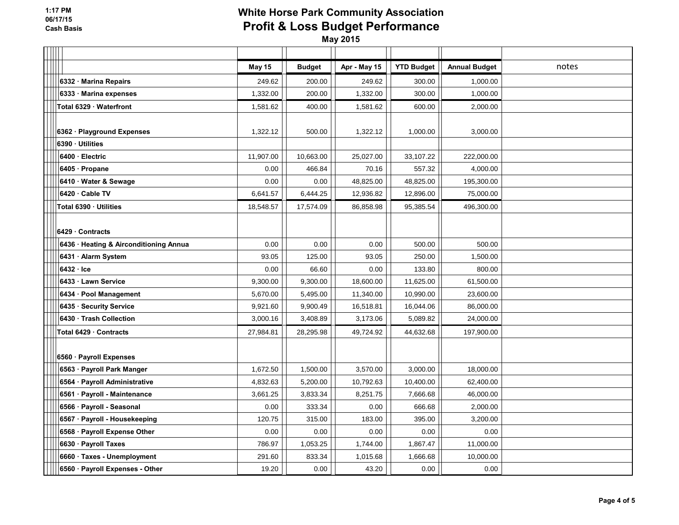|                                        | May 15    | <b>Budget</b> | Apr - May 15 | <b>YTD Budget</b> | <b>Annual Budget</b> | notes |
|----------------------------------------|-----------|---------------|--------------|-------------------|----------------------|-------|
| 6332 Marina Repairs                    | 249.62    | 200.00        | 249.62       | 300.00            | 1,000.00             |       |
| 6333 · Marina expenses                 | 1,332.00  | 200.00        | 1,332.00     | 300.00            | 1,000.00             |       |
| Total 6329 · Waterfront                | 1,581.62  | 400.00        | 1,581.62     | 600.00            | 2,000.00             |       |
|                                        |           |               |              |                   |                      |       |
| 6362 · Playground Expenses             | 1,322.12  | 500.00        | 1,322.12     | 1,000.00          | 3,000.00             |       |
| 6390 · Utilities                       |           |               |              |                   |                      |       |
| 6400 · Electric                        | 11,907.00 | 10,663.00     | 25,027.00    | 33,107.22         | 222,000.00           |       |
| 6405 · Propane                         | 0.00      | 466.84        | 70.16        | 557.32            | 4,000.00             |       |
| 6410 Water & Sewage                    | 0.00      | 0.00          | 48,825.00    | 48,825.00         | 195,300.00           |       |
| 6420 Cable TV                          | 6,641.57  | 6,444.25      | 12,936.82    | 12,896.00         | 75,000.00            |       |
| Total 6390 · Utilities                 | 18,548.57 | 17,574.09     | 86,858.98    | 95,385.54         | 496,300.00           |       |
|                                        |           |               |              |                   |                      |       |
| 6429 Contracts                         |           |               |              |                   |                      |       |
| 6436 · Heating & Airconditioning Annua | 0.00      | 0.00          | 0.00         | 500.00            | 500.00               |       |
| 6431 · Alarm System                    | 93.05     | 125.00        | 93.05        | 250.00            | 1,500.00             |       |
| $6432 \cdot$ Ice                       | 0.00      | 66.60         | 0.00         | 133.80            | 800.00               |       |
| 6433 Lawn Service                      | 9,300.00  | 9,300.00      | 18,600.00    | 11,625.00         | 61,500.00            |       |
| 6434 · Pool Management                 | 5,670.00  | 5,495.00      | 11,340.00    | 10,990.00         | 23,600.00            |       |
| 6435 · Security Service                | 9,921.60  | 9,900.49      | 16,518.81    | 16,044.06         | 86,000.00            |       |
| 6430 · Trash Collection                | 3,000.16  | 3,408.89      | 3,173.06     | 5,089.82          | 24,000.00            |       |
| Total 6429 Contracts                   | 27,984.81 | 28,295.98     | 49,724.92    | 44,632.68         | 197,900.00           |       |
|                                        |           |               |              |                   |                      |       |
| 6560 · Payroll Expenses                |           |               |              |                   |                      |       |
| 6563 · Payroll Park Manger             | 1,672.50  | 1,500.00      | 3,570.00     | 3,000.00          | 18,000.00            |       |
| 6564 · Payroll Administrative          | 4,832.63  | 5,200.00      | 10,792.63    | 10,400.00         | 62,400.00            |       |
| 6561 · Payroll - Maintenance           | 3,661.25  | 3,833.34      | 8,251.75     | 7,666.68          | 46,000.00            |       |
| 6566 · Payroll - Seasonal              | 0.00      | 333.34        | 0.00         | 666.68            | 2,000.00             |       |
| 6567 · Payroll - Housekeeping          | 120.75    | 315.00        | 183.00       | 395.00            | 3,200.00             |       |
| 6568 · Payroll Expense Other           | 0.00      | 0.00          | 0.00         | 0.00              | 0.00                 |       |
| 6630 · Payroll Taxes                   | 786.97    | 1,053.25      | 1,744.00     | 1,867.47          | 11,000.00            |       |
| 6660 · Taxes - Unemployment            | 291.60    | 833.34        | 1,015.68     | 1,666.68          | 10,000.00            |       |
| 6560 · Payroll Expenses - Other        | 19.20     | 0.00          | 43.20        | 0.00              | 0.00                 |       |